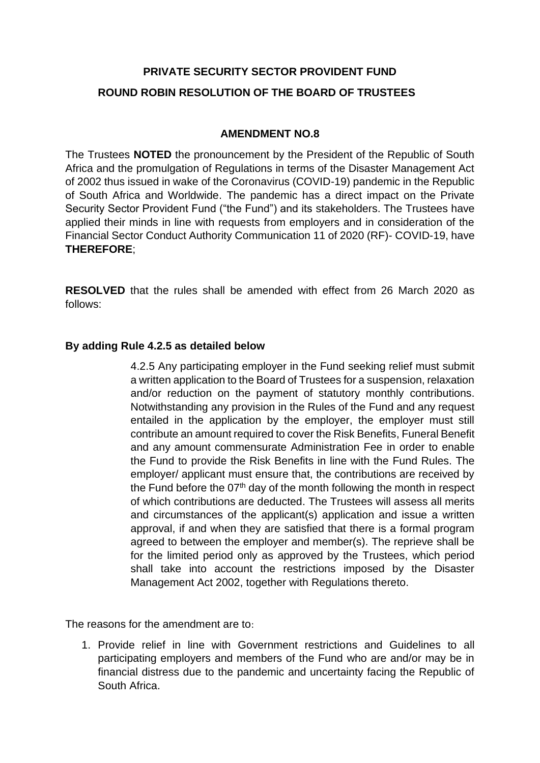## **PRIVATE SECURITY SECTOR PROVIDENT FUND ROUND ROBIN RESOLUTION OF THE BOARD OF TRUSTEES**

## **AMENDMENT NO.8**

The Trustees **NOTED** the pronouncement by the President of the Republic of South Africa and the promulgation of Regulations in terms of the Disaster Management Act of 2002 thus issued in wake of the Coronavirus (COVID-19) pandemic in the Republic of South Africa and Worldwide. The pandemic has a direct impact on the Private Security Sector Provident Fund ("the Fund") and its stakeholders. The Trustees have applied their minds in line with requests from employers and in consideration of the Financial Sector Conduct Authority Communication 11 of 2020 (RF)- COVID-19, have **THEREFORE**;

**RESOLVED** that the rules shall be amended with effect from 26 March 2020 as follows:

## **By adding Rule 4.2.5 as detailed below**

4.2.5 Any participating employer in the Fund seeking relief must submit a written application to the Board of Trustees for a suspension, relaxation and/or reduction on the payment of statutory monthly contributions. Notwithstanding any provision in the Rules of the Fund and any request entailed in the application by the employer, the employer must still contribute an amount required to cover the Risk Benefits, Funeral Benefit and any amount commensurate Administration Fee in order to enable the Fund to provide the Risk Benefits in line with the Fund Rules. The employer/ applicant must ensure that, the contributions are received by the Fund before the  $07<sup>th</sup>$  day of the month following the month in respect of which contributions are deducted. The Trustees will assess all merits and circumstances of the applicant(s) application and issue a written approval, if and when they are satisfied that there is a formal program agreed to between the employer and member(s). The reprieve shall be for the limited period only as approved by the Trustees, which period shall take into account the restrictions imposed by the Disaster Management Act 2002, together with Regulations thereto.

The reasons for the amendment are to:

1. Provide relief in line with Government restrictions and Guidelines to all participating employers and members of the Fund who are and/or may be in financial distress due to the pandemic and uncertainty facing the Republic of South Africa.